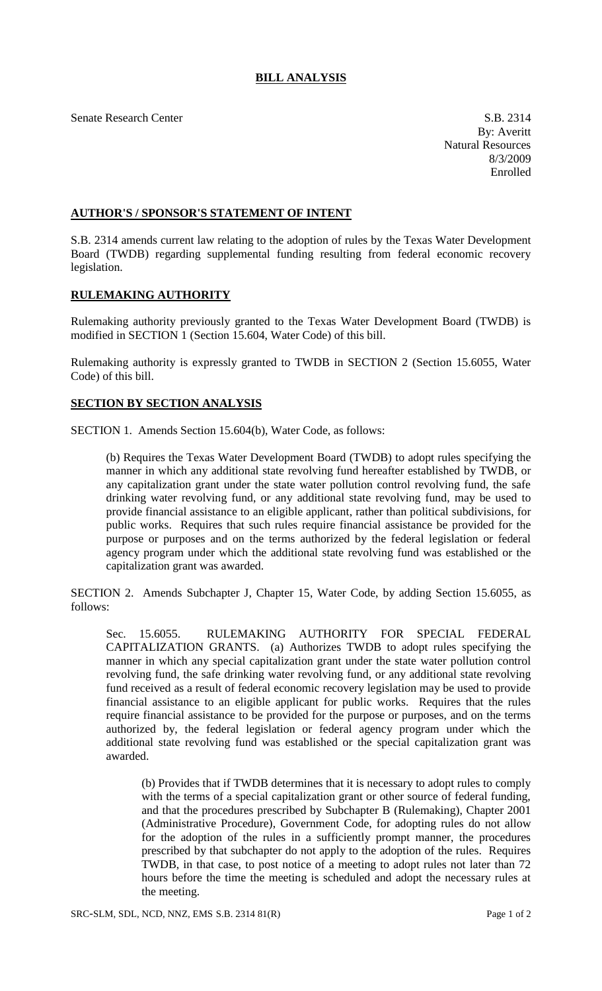## **BILL ANALYSIS**

Senate Research Center S.B. 2314

By: Averitt Natural Resources 8/3/2009 Enrolled

## **AUTHOR'S / SPONSOR'S STATEMENT OF INTENT**

S.B. 2314 amends current law relating to the adoption of rules by the Texas Water Development Board (TWDB) regarding supplemental funding resulting from federal economic recovery legislation.

## **RULEMAKING AUTHORITY**

Rulemaking authority previously granted to the Texas Water Development Board (TWDB) is modified in SECTION 1 (Section 15.604, Water Code) of this bill.

Rulemaking authority is expressly granted to TWDB in SECTION 2 (Section 15.6055, Water Code) of this bill.

## **SECTION BY SECTION ANALYSIS**

SECTION 1. Amends Section 15.604(b), Water Code, as follows:

(b) Requires the Texas Water Development Board (TWDB) to adopt rules specifying the manner in which any additional state revolving fund hereafter established by TWDB, or any capitalization grant under the state water pollution control revolving fund, the safe drinking water revolving fund, or any additional state revolving fund, may be used to provide financial assistance to an eligible applicant, rather than political subdivisions, for public works. Requires that such rules require financial assistance be provided for the purpose or purposes and on the terms authorized by the federal legislation or federal agency program under which the additional state revolving fund was established or the capitalization grant was awarded.

SECTION 2. Amends Subchapter J, Chapter 15, Water Code, by adding Section 15.6055, as follows:

Sec. 15.6055. RULEMAKING AUTHORITY FOR SPECIAL FEDERAL CAPITALIZATION GRANTS. (a) Authorizes TWDB to adopt rules specifying the manner in which any special capitalization grant under the state water pollution control revolving fund, the safe drinking water revolving fund, or any additional state revolving fund received as a result of federal economic recovery legislation may be used to provide financial assistance to an eligible applicant for public works. Requires that the rules require financial assistance to be provided for the purpose or purposes, and on the terms authorized by, the federal legislation or federal agency program under which the additional state revolving fund was established or the special capitalization grant was awarded.

(b) Provides that if TWDB determines that it is necessary to adopt rules to comply with the terms of a special capitalization grant or other source of federal funding, and that the procedures prescribed by Subchapter B (Rulemaking), Chapter 2001 (Administrative Procedure), Government Code, for adopting rules do not allow for the adoption of the rules in a sufficiently prompt manner, the procedures prescribed by that subchapter do not apply to the adoption of the rules. Requires TWDB, in that case, to post notice of a meeting to adopt rules not later than 72 hours before the time the meeting is scheduled and adopt the necessary rules at the meeting.